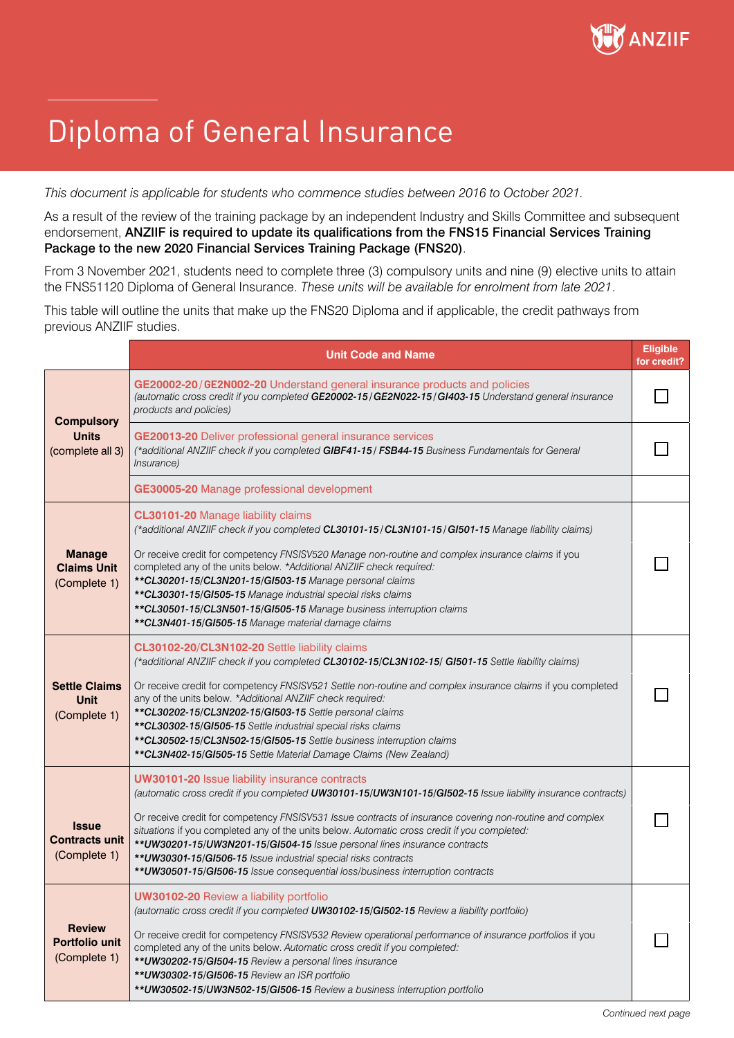

## Diploma of General Insurance

*This document is applicable for students who commence studies between 2016 to October 2021.*

As a result of the review of the training package by an independent Industry and Skills Committee and subsequent endorsement, ANZIIF is required to update its qualifications from the FNS15 Financial Services Training Package to the new 2020 Financial Services Training Package (FNS20).

From 3 November 2021, students need to complete three (3) compulsory units and nine (9) elective units to attain the FNS51120 Diploma of General Insurance. *These units will be available for enrolment from late 2021*.

This table will outline the units that make up the FNS20 Diploma and if applicable, the credit pathways from previous ANZIIF studies.

|                                                        | <b>Unit Code and Name</b>                                                                                                                                                                                                                                                                                                                                                                                                                                                                                                                                                                                             | <b>Eligible</b><br>for credit? |
|--------------------------------------------------------|-----------------------------------------------------------------------------------------------------------------------------------------------------------------------------------------------------------------------------------------------------------------------------------------------------------------------------------------------------------------------------------------------------------------------------------------------------------------------------------------------------------------------------------------------------------------------------------------------------------------------|--------------------------------|
| <b>Compulsory</b><br><b>Units</b><br>(complete all 3)  | GE20002-20/GE2N002-20 Understand general insurance products and policies<br>(automatic cross credit if you completed GE20002-15/GE2N022-15/GI403-15 Understand general insurance<br>products and policies)                                                                                                                                                                                                                                                                                                                                                                                                            |                                |
|                                                        | <b>GE20013-20</b> Deliver professional general insurance services<br>(*additional ANZIIF check if you completed GIBF41-15 / FSB44-15 Business Fundamentals for General<br><i>Insurance</i> )                                                                                                                                                                                                                                                                                                                                                                                                                          |                                |
|                                                        | GE30005-20 Manage professional development                                                                                                                                                                                                                                                                                                                                                                                                                                                                                                                                                                            |                                |
| <b>Manage</b><br><b>Claims Unit</b><br>(Complete 1)    | CL30101-20 Manage liability claims<br>(*additional ANZIIF check if you completed CL30101-15/CL3N101-15/GI501-15 Manage liability claims)<br>Or receive credit for competency FNSISV520 Manage non-routine and complex insurance claims if you<br>completed any of the units below. *Additional ANZIIF check required:<br>** CL30201-15/CL3N201-15/GI503-15 Manage personal claims<br>** CL30301-15/GI505-15 Manage industrial special risks claims<br>**CL30501-15/CL3N501-15/GI505-15 Manage business interruption claims<br>**CL3N401-15/GI505-15 Manage material damage claims                                     |                                |
| <b>Settle Claims</b><br>Unit<br>(Complete 1)           | CL30102-20/CL3N102-20 Settle liability claims<br>(*additional ANZIIF check if you completed CL30102-15/CL3N102-15/ GI501-15 Settle liability claims)<br>Or receive credit for competency FNSISV521 Settle non-routine and complex insurance claims if you completed<br>any of the units below. *Additional ANZIIF check required:<br>**CL30202-15/CL3N202-15/GI503-15 Settle personal claims<br>** CL30302-15/GI505-15 Settle industrial special risks claims<br>**CL30502-15/CL3N502-15/GI505-15 Settle business interruption claims<br>**CL3N402-15/GI505-15 Settle Material Damage Claims (New Zealand)            |                                |
| <b>Issue</b><br><b>Contracts unit</b><br>(Complete 1)  | <b>UW30101-20 Issue liability insurance contracts</b><br>(automatic cross credit if you completed UW30101-15/UW3N101-15/GI502-15 Issue liability insurance contracts)<br>Or receive credit for competency FNSISV531 Issue contracts of insurance covering non-routine and complex<br>situations if you completed any of the units below. Automatic cross credit if you completed:<br>** UW30201-15/UW3N201-15/GI504-15 Issue personal lines insurance contracts<br>** UW30301-15/GI506-15 Issue industrial special risks contracts<br>** UW30501-15/GI506-15 Issue consequential loss/business interruption contracts |                                |
| <b>Review</b><br><b>Portfolio unit</b><br>(Complete 1) | <b>UW30102-20 Review a liability portfolio</b><br>(automatic cross credit if you completed UW30102-15/GI502-15 Review a liability portfolio)<br>Or receive credit for competency FNSISV532 Review operational performance of insurance portfolios if you<br>completed any of the units below. Automatic cross credit if you completed:<br>** UW30202-15/GI504-15 Review a personal lines insurance<br>** UW30302-15/GI506-15 Review an ISR portfolio<br>** UW30502-15/UW3N502-15/GI506-15 Review a business interruption portfolio                                                                                    |                                |